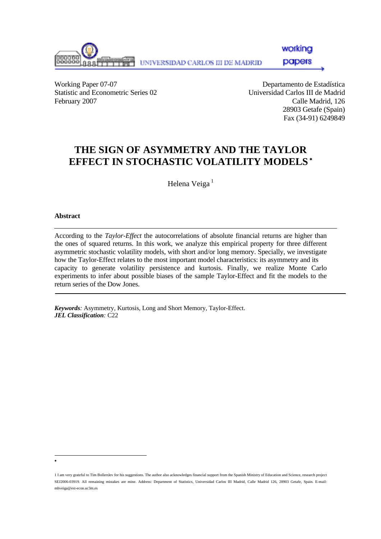

working

papers

Working Paper 07-07 Departamento de Estadística Statistic and Econometric Series 02 Universidad Carlos III de Madrid February 2007 Calle Madrid, 126

 28903 Getafe (Spain) Fax (34-91) 6249849

# **THE SIGN OF ASYMMETRY AND THE TAYLOR EFFECT IN STOCHASTIC VOLATILITY MODELS** <sup>∗</sup>

Helena Veiga<sup>1</sup>

#### **Abstract**

l ∗

According to the *Taylor-Effect* the autocorrelations of absolute financial returns are higher than the ones of squared returns. In this work, we analyze this empirical property for three different asymmetric stochastic volatility models, with short and/or long memory. Specially, we investigate how the Taylor-Effect relates to the most important model characteristics: its asymmetry and its capacity to generate volatility persistence and kurtosis. Finally, we realize Monte Carlo experiments to infer about possible biases of the sample Taylor-Effect and fit the models to the return series of the Dow Jones.

*Keywords:* Asymmetry, Kurtosis, Long and Short Memory, Taylor-Effect. *JEL Classification:* C22

<sup>1</sup> I am very grateful to Tim Bollerslev for his suggestions. The author also acknowledges financial support from the Spanish Ministry of Education and Science, research project SEJ2006-03919. All remaining mistakes are mine. Address: Department of Statistics, Universidad Carlos III Madrid, Calle Madrid 126, 28903 Getafe, Spain. E-mail: mhveiga@est-econ.uc3m.es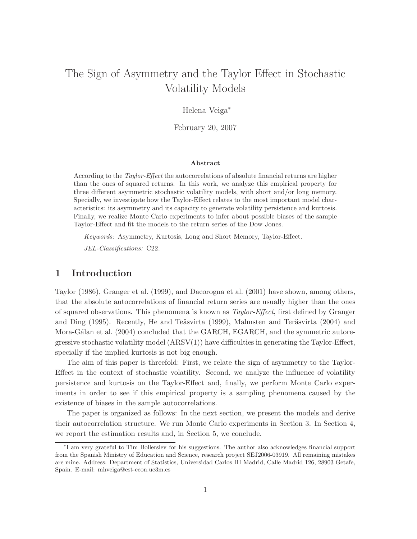# The Sign of Asymmetry and the Taylor Effect in Stochastic Volatility Models

Helena Veiga<sup>∗</sup>

February 20, 2007

#### Abstract

According to the Taylor-Effect the autocorrelations of absolute financial returns are higher than the ones of squared returns. In this work, we analyze this empirical property for three different asymmetric stochastic volatility models, with short and/or long memory. Specially, we investigate how the Taylor-Effect relates to the most important model characteristics: its asymmetry and its capacity to generate volatility persistence and kurtosis. Finally, we realize Monte Carlo experiments to infer about possible biases of the sample Taylor-Effect and fit the models to the return series of the Dow Jones.

Keywords: Asymmetry, Kurtosis, Long and Short Memory, Taylor-Effect. JEL-Classifications: C22.

### 1 Introduction

Taylor (1986), Granger et al. (1999), and Dacorogna et al. (2001) have shown, among others, that the absolute autocorrelations of financial return series are usually higher than the ones of squared observations. This phenomena is known as Taylor-Effect, first defined by Granger and Ding (1995). Recently, He and Teäsvirta (1999), Malmsten and Teräsvirta (2004) and Mora-Gálan et al. (2004) concluded that the GARCH, EGARCH, and the symmetric autoregressive stochastic volatility model  $(ARSV(1))$  have difficulties in generating the Taylor-Effect, specially if the implied kurtosis is not big enough.

The aim of this paper is threefold: First, we relate the sign of asymmetry to the Taylor-Effect in the context of stochastic volatility. Second, we analyze the influence of volatility persistence and kurtosis on the Taylor-Effect and, finally, we perform Monte Carlo experiments in order to see if this empirical property is a sampling phenomena caused by the existence of biases in the sample autocorrelations.

The paper is organized as follows: In the next section, we present the models and derive their autocorrelation structure. We run Monte Carlo experiments in Section 3. In Section 4, we report the estimation results and, in Section 5, we conclude.

<sup>∗</sup> I am very grateful to Tim Bollerslev for his suggestions. The author also acknowledges financial support from the Spanish Ministry of Education and Science, research project SEJ2006-03919. All remaining mistakes are mine. Address: Department of Statistics, Universidad Carlos III Madrid, Calle Madrid 126, 28903 Getafe, Spain. E-mail: mhveiga@est-econ.uc3m.es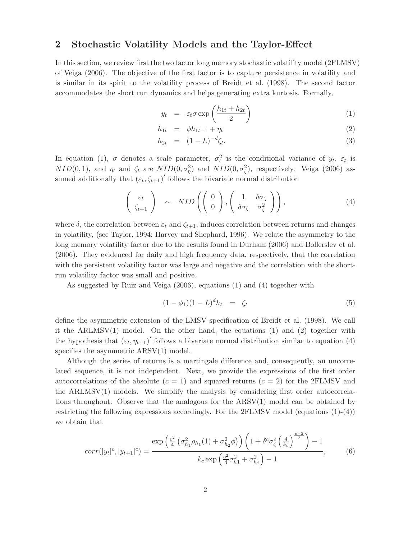#### 2 Stochastic Volatility Models and the Taylor-Effect

In this section, we review first the two factor long memory stochastic volatility model (2FLMSV) of Veiga (2006). The objective of the first factor is to capture persistence in volatility and is similar in its spirit to the volatility process of Breidt et al. (1998). The second factor accommodates the short run dynamics and helps generating extra kurtosis. Formally,

$$
y_t = \varepsilon_t \sigma \exp\left(\frac{h_{1t} + h_{2t}}{2}\right) \tag{1}
$$

$$
h_{1t} = \phi h_{1t-1} + \eta_t \tag{2}
$$

$$
h_{2t} = (1 - L)^{-d} \zeta_t.
$$
 (3)

In equation (1),  $\sigma$  denotes a scale parameter,  $\sigma_t^2$  is the conditional variance of  $y_t$ ,  $\varepsilon_t$  is  $NID(0,1)$ , and  $\eta_t$  and  $\zeta_t$  are  $NID(0, \sigma_\eta^2)$  and  $NID(0, \sigma_\zeta^2)$ , respectively. Veiga (2006) assumed additionally that  $(\varepsilon_t, \zeta_{t+1})'$  follows the bivariate normal distribution

$$
\begin{pmatrix} \varepsilon_t \\ \zeta_{t+1} \end{pmatrix} \sim NID \left( \begin{pmatrix} 0 \\ 0 \end{pmatrix}, \begin{pmatrix} 1 & \delta \sigma_{\zeta} \\ \delta \sigma_{\zeta} & \sigma_{\zeta}^2 \end{pmatrix} \right), \tag{4}
$$

where  $\delta$ , the correlation between  $\varepsilon_t$  and  $\zeta_{t+1}$ , induces correlation between returns and changes in volatility, (see Taylor, 1994; Harvey and Shephard, 1996). We relate the asymmetry to the long memory volatility factor due to the results found in Durham (2006) and Bollerslev et al. (2006). They evidenced for daily and high frequency data, respectively, that the correlation with the persistent volatility factor was large and negative and the correlation with the shortrun volatility factor was small and positive.

As suggested by Ruiz and Veiga (2006), equations (1) and (4) together with

$$
(1 - \phi_1)(1 - L)^d h_t = \zeta_t \tag{5}
$$

define the asymmetric extension of the LMSV specification of Breidt et al. (1998). We call it the ARLMSV $(1)$  model. On the other hand, the equations  $(1)$  and  $(2)$  together with the hypothesis that  $(\varepsilon_t, \eta_{t+1})'$  follows a bivariate normal distribution similar to equation (4) specifies the asymmetric  $ARSV(1)$  model.

Although the series of returns is a martingale difference and, consequently, an uncorrelated sequence, it is not independent. Next, we provide the expressions of the first order autocorrelations of the absolute  $(c = 1)$  and squared returns  $(c = 2)$  for the 2FLMSV and the ARLMSV(1) models. We simplify the analysis by considering first order autocorrelations throughout. Observe that the analogous for the ARSV(1) model can be obtained by restricting the following expressions accordingly. For the 2FLMSV model (equations  $(1)-(4)$ ) we obtain that

$$
corr(|y_t|^c, |y_{t+1}|^c) = \frac{\exp\left(\frac{c^2}{4}\left(\sigma_{h_1}^2 \rho_{h_1}(1) + \sigma_{h_2}^2 \phi\right)\right)\left(1 + \delta^c \sigma_{\zeta}^c \left(\frac{4}{k_c}\right)^{\frac{c-2}{2}}\right) - 1}{k_c \exp\left(\frac{c^2}{4}\sigma_{h_1}^2 + \sigma_{h_2}^2\right) - 1},\tag{6}
$$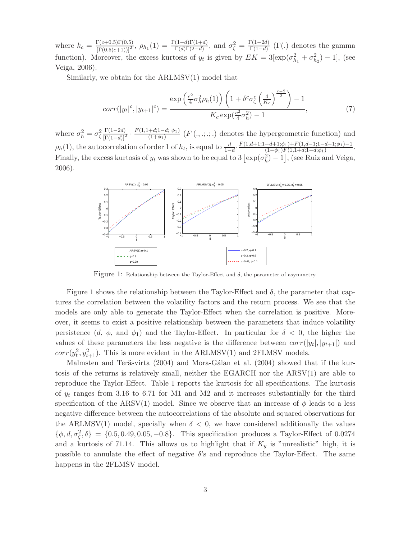where  $k_c = \frac{\Gamma(c+0.5)\Gamma(0.5)}{[\Gamma(0.5(c+1))]^2}$ ,  $\rho_{h_1}(1) = \frac{\Gamma(1-d)\Gamma(1+d)}{\Gamma(d)\Gamma(2-d)}$ , and  $\sigma_{\zeta}^2 = \frac{\Gamma(1-2d)}{\Gamma(1-d)}$  $\frac{\Gamma(1-2a)}{\Gamma(1-d)}$  ( $\Gamma(.)$  denotes the gamma function). Moreover, the excess kurtosis of  $y_t$  is given by  $EK = 3[\exp(\sigma_{h_1}^2 + \sigma_{h_2}^2) - 1]$ , (see Veiga, 2006).

Similarly, we obtain for the ARLMSV(1) model that

$$
corr(|y_t|^c, |y_{t+1}|^c) = \frac{\exp\left(\frac{c^2}{4}\sigma_h^2 \rho_h(1)\right)\left(1 + \delta^c \sigma_\zeta^c \left(\frac{4}{K_c}\right)^{\frac{c-2}{2}}\right) - 1}{K_c \exp(\frac{c^2}{4}\sigma_h^2) - 1},\tag{7}
$$

where  $\sigma_h^2 = \sigma_{\zeta}^2$  $\frac{\Gamma(1-2d)}{(\Gamma(1-d))^{2}} \cdot \frac{F(1,1+d;1-d;\phi_{1})}{(1+\phi_{1})}$  $\frac{+a_{i1}-a_{i2}}{(1+a_{1})}$  (F(., ., ., .) denotes the hypergeometric function) and  $\rho_h(1)$ , the autocorrelation of order 1 of  $h_t$ , is equal to  $\frac{d}{1-d} \cdot \frac{F(1,d+1;1-d+1;\phi_1) + F(1,d-1;1-d-1;\phi_1) - 1}{(1-\phi_1)F(1,1+d;1-d;\phi_1)}$  $\frac{(-a+1;\varphi_1)+F(1,a-1;1-a-1;\varphi_1)-1}{(1-\varphi_1)F(1,1+d;1-d;\varphi_1)}.$ Finally, the excess kurtosis of  $y_t$  was shown to be equal to  $3 \left[ \exp(\sigma_h^2) - 1 \right]$ , (see Ruiz and Veiga, 2006).



Figure 1: Relationship between the Taylor-Effect and  $\delta$ , the parameter of asymmetry.

Figure 1 shows the relationship between the Taylor-Effect and  $\delta$ , the parameter that captures the correlation between the volatility factors and the return process. We see that the models are only able to generate the Taylor-Effect when the correlation is positive. Moreover, it seems to exist a positive relationship between the parameters that induce volatility persistence  $(d, \phi, \text{ and } \phi_1)$  and the Taylor-Effect. In particular for  $\delta < 0$ , the higher the values of these parameters the less negative is the difference between  $corr(|y_t|, |y_{t+1}|)$  and  $corr(y_t^2, y_{t+1}^2)$ . This is more evident in the ARLMSV(1) and 2FLMSV models.

Malmsten and Teräsvirta  $(2004)$  and Mora-Gálan et al.  $(2004)$  showed that if the kurtosis of the returns is relatively small, neither the EGARCH nor the ARSV(1) are able to reproduce the Taylor-Effect. Table 1 reports the kurtosis for all specifications. The kurtosis of  $y_t$  ranges from 3.16 to 6.71 for M1 and M2 and it increases substantially for the third specification of the ARSV(1) model. Since we observe that an increase of  $\phi$  leads to a less negative difference between the autocorrelations of the absolute and squared observations for the ARLMSV(1) model, specially when  $\delta < 0$ , we have considered additionally the values  $\{\phi, d, \sigma_{\zeta}^2, \delta\} = \{0.5, 0.49, 0.05, -0.8\}.$  This specification produces a Taylor-Effect of 0.0274 and a kurtosis of 71.14. This allows us to highlight that if  $K_y$  is "unrealistic" high, it is possible to annulate the effect of negative  $\delta$ 's and reproduce the Taylor-Effect. The same happens in the 2FLMSV model.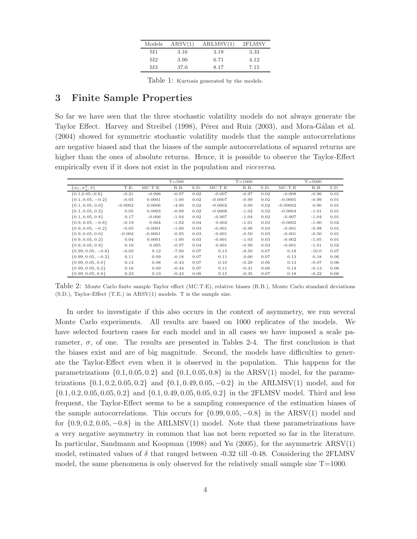| Models         | ARSV(1) | ARLMSV(1) | 2FLMSV |
|----------------|---------|-----------|--------|
| M1             | 3.16    | 3.18      | 3.33   |
| M <sub>2</sub> | 3.90    | 6.71      | 4.12   |
| M <sub>3</sub> | 37.0    | 8.17      | 7.15   |

Table 1: Kurtosis generated by the models.

## 3 Finite Sample Properties

So far we have seen that the three stochastic volatility models do not always generate the Taylor Effect. Harvey and Streibel (1998), Pérez and Ruiz (2003), and Mora-Gálan et al. (2004) showed for symmetric stochastic volatility models that the sample autocorrelations are negative biased and that the biases of the sample autocorrelations of squared returns are higher than the ones of absolute returns. Hence, it is possible to observe the Taylor-Effect empirically even if it does not exist in the population and *viceversa*.

|                                  |           |           | $T = 500$ |      |           | $T = 1000$ |      |            | $T = 5000$ |      |
|----------------------------------|-----------|-----------|-----------|------|-----------|------------|------|------------|------------|------|
| $\{\phi_1, \sigma_n^2, \delta\}$ | T.E.      | MC.T.E.   | R.B.      | S.D. | MC.T.E    | R.B.       | S.D. | MC.T.E     | R.B.       | S.D. |
| ${0.1, 0.05, -0.8}$              | $-0.21$   | $-0.006$  | $-0.97$   | 0.02 | $-0.007$  | $-0.97$    | 0.02 | $-0.008$   | $-0.96$    | 0.01 |
| $\{0.1, 0.05, -0.2\}$            | $-0.05$   | 0.0001    | $-1.00$   | 0.02 | $-0.0007$ | $-0.99$    | 0.02 | $-0.0005$  | $-0.99$    | 0.01 |
| $\{0.1, 0.05, 0.0\}$             | $-0.0002$ | 0.0006    | $-4.00$   | 0.02 | $-0.0002$ | 0.00       | 0.02 | $-0.00002$ | 0.90       | 0.01 |
| $\{0.1, 0.05, 0.2\}$             | 0.05      | 0.0003    | $-0.99$   | 0.02 | $-0.0008$ | $-1.02$    | 0.02 | $-0.0004$  | $-1.01$    | 0.01 |
| $\{0.1, 0.05, 0.8\}$             | 0.17      | $-0.006$  | $-1.04$   | 0.02 | $-0.007$  | $-1.04$    | 0.02 | $-0.007$   | $-1.04$    | 0.01 |
| $\{0.9, 0.05, -0.8\}$            | $-0.19$   | 0.004     | $-1.02$   | 0.04 | 0.002     | $-1.01$    | 0.03 | $-0.0002$  | $-1.00$    | 0.02 |
| $\{0.9, 0.05, -0.2\}$            | $-0.05$   | $-0.0001$ | $-1.00$   | 0.03 | $-0.001$  | $-0.98$    | 0.03 | $-0.001$   | $-0.98$    | 0.01 |
| $\{0.9, 0.05, 0.0\}$             | $-0.002$  | $-0.0001$ | $-0.95$   | 0.03 | $-0.001$  | $-0.50$    | 0.03 | $-0.001$   | $-0.50$    | 0.01 |
| $\{0.9, 0.05, 0.2\}$             | 0.04      | 0.0001    | $-1.00$   | 0.03 | $-0.001$  | $-1.03$    | 0.03 | $-0.002$   | $-1.05$    | 0.01 |
| $\{0.9, 0.05, 0.8\}$             | 0.16      | 0.005     | $-0.97$   | 0.04 | 0.001     | $-0.99$    | 0.03 | $-0.001$   | $-1.01$    | 0.02 |
| $\{0.99, 0.05, -0.8\}$           | $-0.02$   | 0.12      | $-7.00$   | 0.07 | 0.15      | $-8.50$    | 0.07 | 0.18       | $-10.0$    | 0.07 |
| $\{0.99, 0.05, -0.2\}$           | 0.11      | 0.09      | $-0.18$   | 0.07 | 0.11      | 0.00       | 0.07 | 0.13       | 0.18       | 0.06 |
| $\{0.99, 0.05, 0.0\}$            | 0.14      | 0.08      | $-0.43$   | 0.07 | 0.10      | $-0.29$    | 0.06 | 0.13       | $-0.07$    | 0.06 |
| $\{0.99, 0.05, 0.2\}$            | 0.16      | 0.09      | $-0.44$   | 0.07 | 0.11      | $-0.31$    | 0.06 | 0.14       | $-0.13$    | 0.06 |
| $\{0.99, 0.05, 0.8\}$            | 0.23      | 0.13      | $-0.43$   | 0.08 | 0.15      | $-0.35$    | 0.07 | 0.18       | $-0.22$    | 0.06 |

Table 2: Monte Carlo finite sample Taylor effect (MC.T.E), relative biases (R.B.), Monte Carlo standard deviations (S.D.), Taylor-Effect (T.E.) in ARSV(1) models. T is the sample size.

In order to investigate if this also occurs in the context of asymmetry, we run several Monte Carlo experiments. All results are based on 1000 replicates of the models. We have selected fourteen cases for each model and in all cases we have imposed a scale parameter,  $\sigma$ , of one. The results are presented in Tables 2-4. The first conclusion is that the biases exist and are of big magnitude. Second, the models have difficulties to generate the Taylor-Effect even when it is observed in the population. This happens for the parametrizations  $\{0.1, 0.05, 0.2\}$  and  $\{0.1, 0.05, 0.8\}$  in the ARSV(1) model, for the parametrizations  $\{0.1, 0.2, 0.05, 0.2\}$  and  $\{0.1, 0.49, 0.05, -0.2\}$  in the ARLMSV(1) model, and for  $\{0.1, 0.2, 0.05, 0.05, 0.2\}$  and  $\{0.1, 0.49, 0.05, 0.05, 0.2\}$  in the 2FLMSV model. Third and less frequent, the Taylor-Effect seems to be a sampling consequence of the estimation biases of the sample autocorrelations. This occurs for  $\{0.99, 0.05, -0.8\}$  in the ARSV(1) model and for  $\{0.9, 0.2, 0.05, -0.8\}$  in the ARLMSV(1) model. Note that these parametrizations have a very negative asymmetry in common that has not been reported so far in the literature. In particular, Sandmann and Koopman (1998) and Yu (2005), for the asymmetric ARSV(1) model, estimated values of  $\delta$  that ranged between -0.32 till -0.48. Considering the 2FLMSV model, the same phenomena is only observed for the relatively small sample size  $T=1000$ .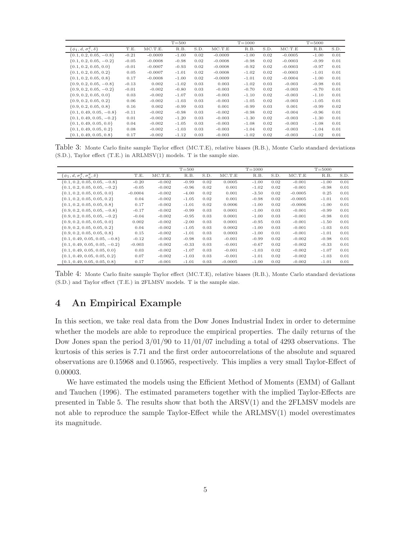|                                              |         |           | $T = 500$ |      |           | $T = 1000$ |      |           | $T = 5000$ |      |
|----------------------------------------------|---------|-----------|-----------|------|-----------|------------|------|-----------|------------|------|
| $\{\phi_1, d, \sigma^2_{\epsilon}, \delta\}$ | T.E.    | MC.T.E.   | R.B.      | S.D. | MC.T.E    | R.B.       | S.D. | MC.T.E    | R.B.       | S.D. |
| $\{0.1, 0.2, 0.05, -0.8\}$                   | $-0.21$ | $-0.0009$ | $-1.00$   | 0.02 | $-0.0009$ | $-1.00$    | 0.02 | $-0.0005$ | $-1.00$    | 0.01 |
| $\{0.1, 0.2, 0.05, -0.2\}$                   | $-0.05$ | $-0.0008$ | $-0.98$   | 0.02 | $-0.0008$ | $-0.98$    | 0.02 | $-0.0003$ | $-0.99$    | 0.01 |
| $\{0.1, 0.2, 0.05, 0.0\}$                    | $-0.01$ | $-0.0007$ | $-0.93$   | 0.02 | $-0.0008$ | $-0.92$    | 0.02 | $-0.0003$ | $-0.97$    | 0.01 |
| $\{0.1, 0.2, 0.05, 0.2\}$                    | 0.05    | $-0.0007$ | $-1.01$   | 0.02 | $-0.0008$ | $-1.02$    | 0.02 | $-0.0003$ | $-1.01$    | 0.01 |
| $\{0.1, 0.2, 0.05, 0.8\}$                    | 0.17    | $-0.0008$ | $-1.00$   | 0.02 | $-0.0009$ | $-1.01$    | 0.02 | $-0.0004$ | $-1.00$    | 0.01 |
| $\{0.9, 0.2, 0.05, -0.8\}$                   | $-0.13$ | 0.002     | $-1.02$   | 0.03 | 0.003     | $-1.02$    | 0.03 | $-0.003$  | $-0.98$    | 0.01 |
| $\{0.9, 0.2, 0.05, -0.2\}$                   | $-0.01$ | $-0.002$  | $-0.80$   | 0.03 | $-0.003$  | $-0.70$    | 0.02 | $-0.003$  | $-0.70$    | 0.01 |
| $\{0.9, 0.2, 0.05, 0.0\}$                    | 0.03    | $-0.002$  | $-1.07$   | 0.03 | $-0.003$  | $-1.10$    | 0.02 | $-0.003$  | $-1.10$    | 0.01 |
| $\{0.9, 0.2, 0.05, 0.2\}$                    | 0.06    | $-0.002$  | $-1.03$   | 0.03 | $-0.003$  | $-1.05$    | 0.02 | $-0.003$  | $-1.05$    | 0.01 |
| $\{0.9, 0.2, 0.05, 0.8\}$                    | 0.16    | 0.002     | $-0.99$   | 0.03 | 0.001     | $-0.99$    | 0.03 | 0.001     | $-0.99$    | 0.02 |
| $\{0.1, 0.49, 0.05, -0.8\}$                  | $-0.11$ | $-0.002$  | $-0.98$   | 0.03 | $-0.002$  | $-0.98$    | 0.02 | $-0.004$  | $-0.96$    | 0.01 |
| $\{0.1, 0.49, 0.05, -0.2\}$                  | 0.01    | $-0.002$  | $-1.20$   | 0.03 | $-0.003$  | $-1.30$    | 0.02 | $-0.003$  | $-1.30$    | 0.01 |
| $\{0.1, 0.49, 0.05, 0.0\}$                   | 0.04    | $-0.002$  | $-1.05$   | 0.03 | $-0.003$  | $-1.08$    | 0.02 | $-0.003$  | $-1.08$    | 0.01 |
| $\{0.1, 0.49, 0.05, 0.2\}$                   | 0.08    | $-0.002$  | $-1.03$   | 0.03 | $-0.003$  | $-1.04$    | 0.02 | $-0.003$  | $-1.04$    | 0.01 |
| $\{0.1, 0.49, 0.05, 0.8\}$                   | 0.17    | $-0.002$  | $-1.12$   | 0.03 | $-0.003$  | $-1.02$    | 0.02 | $-0.003$  | $-1.02$    | 0.01 |

Table 3: Monte Carlo finite sample Taylor effect (MC.T.E), relative biases (R.B.), Monte Carlo standard deviations (S.D.), Taylor effect (T.E.) in ARLMSV(1) models. T is the sample size.

|                                                            |           |          | $T = 500$ |      |           | $T = 1000$ |      |           | $T = 5000$ |      |
|------------------------------------------------------------|-----------|----------|-----------|------|-----------|------------|------|-----------|------------|------|
| $\{\phi_1, d, \sigma^2_{\zeta}, \sigma^2_{\eta}, \delta\}$ | T.E.      | MC.T.E.  | R.B.      | S.D. | MC.T.E    | R.B.       | S.D. | MC.T.E    | R.B.       | S.D. |
| $\{0.1, 0.2, 0.05, 0.05, -0.8\}$                           | $-0.20$   | $-0.002$ | $-0.99$   | 0.02 | 0.0005    | $-1.00$    | 0.02 | $-0.001$  | $-1.00$    | 0.01 |
| $\{0.1, 0.2, 0.05, 0.05, -0.2\}$                           | $-0.05$   | $-0.002$ | $-0.96$   | 0.02 | 0.001     | $-1.02$    | 0.02 | $-0.001$  | $-0.98$    | 0.01 |
| $\{0.1, 0.2, 0.05, 0.05, 0.0\}$                            | $-0.0004$ | $-0.002$ | $-4.00$   | 0.02 | 0.001     | $-3.50$    | 0.02 | $-0.0005$ | 0.25       | 0.01 |
| $\{0.1, 0.2, 0.05, 0.05, 0.2\}$                            | 0.04      | $-0.002$ | $-1.05$   | 0.02 | 0.001     | $-0.98$    | 0.02 | $-0.0005$ | $-1.01$    | 0.01 |
| $\{0.1, 0.2, 0.05, 0.05, 0.8\}$                            | 0.17      | $-0.002$ | $-1.01$   | 0.02 | 0.0006    | $-1.00$    | 0.02 | $-0.0006$ | $-1.00$    | 0.01 |
| $\{0.9, 0.2, 0.05, 0.05, -0.8\}$                           | $-0.17$   | $-0.002$ | $-0.99$   | 0.03 | 0.0001    | $-1.00$    | 0.03 | $-0.001$  | $-0.99$    | 0.01 |
| $\{0.9, 0.2, 0.05, 0.05, -0.2\}$                           | $-0.04$   | $-0.002$ | $-0.95$   | 0.03 | 0.0001    | $-1.00$    | 0.03 | $-0.001$  | $-0.98$    | 0.01 |
| $\{0.9, 0.2, 0.05, 0.05, 0.0\}$                            | 0.002     | $-0.002$ | $-2.00$   | 0.03 | 0.0001    | $-0.95$    | 0.03 | $-0.001$  | $-1.50$    | 0.01 |
| $\{0.9, 0.2, 0.05, 0.05, 0.2\}$                            | 0.04      | $-0.002$ | $-1.05$   | 0.03 | 0.0002    | $-1.00$    | 0.03 | $-0.001$  | $-1.03$    | 0.01 |
| $\{0.9, 0.2, 0.05, 0.05, 0.8\}$                            | 0.15      | $-0.002$ | $-1.01$   | 0.03 | 0.0003    | $-1.00$    | 0.01 | $-0.001$  | $-1.01$    | 0.01 |
| $\{0.1, 0.49, 0.05, 0.05, -0.8\}$                          | $-0.12$   | $-0.002$ | $-0.98$   | 0.03 | $-0.001$  | $-0.99$    | 0.02 | $-0.002$  | $-0.98$    | 0.01 |
| $\{0.1, 0.49, 0.05, 0.05, -0.2\}$                          | $-0.003$  | $-0.002$ | $-0.33$   | 0.03 | $-0.001$  | $-0.67$    | 0.02 | $-0.002$  | $-0.33$    | 0.01 |
| $\{0.1, 0.49, 0.05, 0.05, 0.0\}$                           | 0.03      | $-0.002$ | $-1.07$   | 0.03 | $-0.001$  | $-1.03$    | 0.02 | $-0.002$  | $-1.07$    | 0.01 |
| $\{0.1, 0.49, 0.05, 0.05, 0.2\}$                           | 0.07      | $-0.002$ | $-1.03$   | 0.03 | $-0.001$  | $-1.01$    | 0.02 | $-0.002$  | $-1.03$    | 0.01 |
| $\{0.1, 0.49, 0.05, 0.05, 0.8\}$                           | 0.17      | $-0.001$ | $-1.01$   | 0.03 | $-0.0005$ | $-1.00$    | 0.02 | $-0.002$  | $-1.01$    | 0.01 |

Table 4: Monte Carlo finite sample Taylor effect (MC.T.E), relative biases (R.B.), Monte Carlo standard deviations (S.D.) and Taylor effect (T.E.) in 2FLMSV models. T is the sample size.

# 4 An Empirical Example

In this section, we take real data from the Dow Jones Industrial Index in order to determine whether the models are able to reproduce the empirical properties. The daily returns of the Dow Jones span the period  $3/01/90$  to  $11/01/07$  including a total of 4293 observations. The kurtosis of this series is 7.71 and the first order autocorrelations of the absolute and squared observations are 0.15968 and 0.15965, respectively. This implies a very small Taylor-Effect of 0.00003.

We have estimated the models using the Efficient Method of Moments (EMM) of Gallant and Tauchen (1996). The estimated parameters together with the implied Taylor-Effects are presented in Table 5. The results show that both the ARSV(1) and the 2FLMSV models are not able to reproduce the sample Taylor-Effect while the ARLMSV(1) model overestimates its magnitude.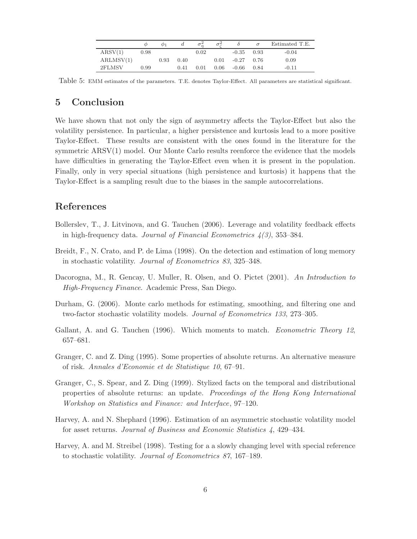|           | Φ    | Φ1   |      |          |      |              | $\sigma$ | Estimated T.E. |
|-----------|------|------|------|----------|------|--------------|----------|----------------|
| ARSV(1)   | 0.98 |      |      | $0.02\,$ |      | $-0.35$      | 0.93     | $-0.04$        |
| ARLMSV(1) |      | 0.93 | 0.40 |          | 0.01 | $-0.27$ 0.76 |          | 0.09           |
| 2FLMSV    | 0.99 |      | 0.41 | 0.01     | 0.06 | $-0.66$      | 0.84     | $-0.11$        |

Table 5: EMM estimates of the parameters. T.E. denotes Taylor-Effect. All parameters are statistical significant.

### 5 Conclusion

We have shown that not only the sign of asymmetry affects the Taylor-Effect but also the volatility persistence. In particular, a higher persistence and kurtosis lead to a more positive Taylor-Effect. These results are consistent with the ones found in the literature for the symmetric ARSV(1) model. Our Monte Carlo results reenforce the evidence that the models have difficulties in generating the Taylor-Effect even when it is present in the population. Finally, only in very special situations (high persistence and kurtosis) it happens that the Taylor-Effect is a sampling result due to the biases in the sample autocorrelations.

# References

- Bollerslev, T., J. Litvinova, and G. Tauchen (2006). Leverage and volatility feedback effects in high-frequency data. Journal of Financial Econometrics  $\mathcal{A}(3)$ , 353–384.
- Breidt, F., N. Crato, and P. de Lima (1998). On the detection and estimation of long memory in stochastic volatility. Journal of Econometrics 83, 325–348.
- Dacorogna, M., R. Gencay, U. Muller, R. Olsen, and O. Pictet (2001). An Introduction to High-Frequency Finance. Academic Press, San Diego.
- Durham, G. (2006). Monte carlo methods for estimating, smoothing, and filtering one and two-factor stochastic volatility models. Journal of Econometrics 133, 273–305.
- Gallant, A. and G. Tauchen (1996). Which moments to match. *Econometric Theory 12*, 657–681.
- Granger, C. and Z. Ding (1995). Some properties of absolute returns. An alternative measure of risk. Annales d'Economie et de Statistique 10, 67–91.
- Granger, C., S. Spear, and Z. Ding (1999). Stylized facts on the temporal and distributional properties of absolute returns: an update. Proceedings of the Hong Kong International Workshop on Statistics and Finance: and Interface, 97–120.
- Harvey, A. and N. Shephard (1996). Estimation of an asymmetric stochastic volatility model for asset returns. Journal of Business and Economic Statistics 4, 429–434.
- Harvey, A. and M. Streibel (1998). Testing for a a slowly changing level with special reference to stochastic volatility. Journal of Econometrics 87, 167–189.